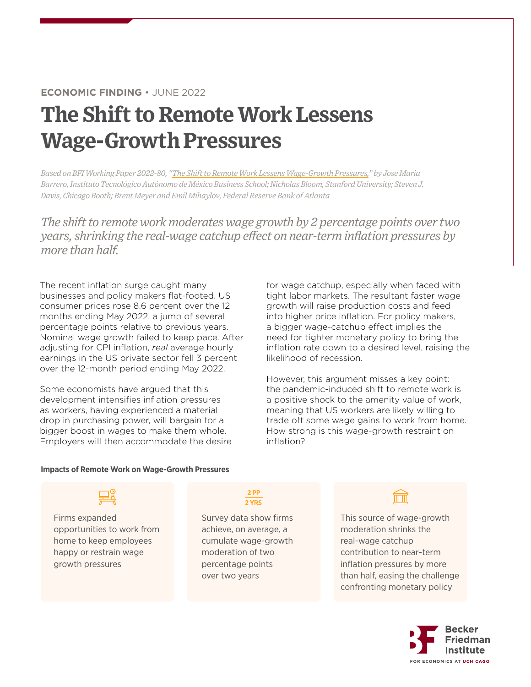## **ECONOMIC FINDING** • JUNE 2022

# **The Shift to Remote Work Lessens Wage-Growth Pressures**

*Based on BFI Working Paper 2022-80, ["The Shift to Remote Work Lessens Wage-Growth Pressures,](https://bfi.uchicago.edu/working-paper/the-shift-to-remote-work-lessens-wage-growth-pressures/)" by Jose Maria Barrero, Instituto Tecnológico Autónomo de México Business School; Nicholas Bloom, Stanford University; Steven J. Davis, Chicago Booth; Brent Meyer and Emil Mihaylov, Federal Reserve Bank of Atlanta*

*The shift to remote work moderates wage growth by 2 percentage points over two years, shrinking the real-wage catchup effect on near-term inflation pressures by more than half.*

The recent inflation surge caught many businesses and policy makers flat-footed. US consumer prices rose 8.6 percent over the 12 months ending May 2022, a jump of several percentage points relative to previous years. Nominal wage growth failed to keep pace. After adjusting for CPI inflation, *real* average hourly earnings in the US private sector fell 3 percent over the 12-month period ending May 2022.

Some economists have argued that this development intensifies inflation pressures as workers, having experienced a material drop in purchasing power, will bargain for a bigger boost in wages to make them whole. Employers will then accommodate the desire

for wage catchup, especially when faced with tight labor markets. The resultant faster wage growth will raise production costs and feed into higher price inflation. For policy makers, a bigger wage-catchup effect implies the need for tighter monetary policy to bring the inflation rate down to a desired level, raising the likelihood of recession.

However, this argument misses a key point: the pandemic-induced shift to remote work is a positive shock to the amenity value of work, meaning that US workers are likely willing to trade off some wage gains to work from home. How strong is this wage-growth restraint on inflation?

### **Impacts of Remote Work on Wage-Growth Pressures**

# Firms expanded opportunities to work from

home to keep employees happy or restrain wage growth pressures

### $2$  PP 2 YRS

Survey data show firms achieve, on average, a cumulate wage-growth moderation of two percentage points over two years

त्तिता

This source of wage-growth moderation shrinks the real-wage catchup contribution to near-term inflation pressures by more than half, easing the challenge confronting monetary policy